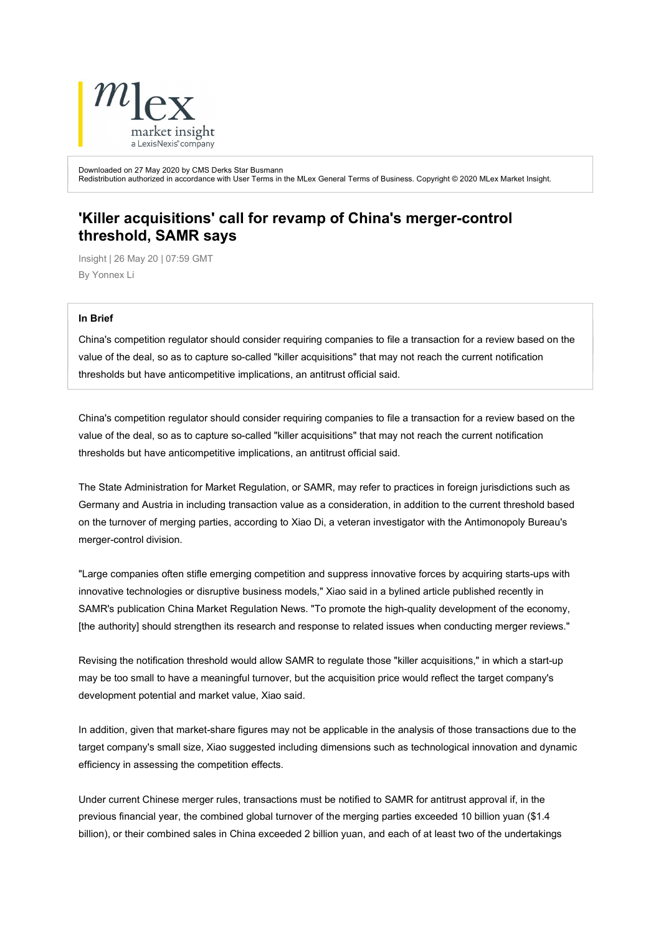

Downloaded on 27 May 2020 by CMS Derks Star Busmann Redistribution authorized in accordance with User Terms in the MLex General Terms of Business. Copyright © 2020 MLex Market Insight.

## 'Killer acquisitions' call for revamp of China's merger-control threshold, SAMR says

Insight | 26 May 20 | 07:59 GMT By Yonnex Li

## In Brief

China's competition regulator should consider requiring companies to file a transaction for a review based on the value of the deal, so as to capture so-called "killer acquisitions" that may not reach the current notification thresholds but have anticompetitive implications, an antitrust official said.

China's competition regulator should consider requiring companies to file a transaction for a review based on the value of the deal, so as to capture so-called "killer acquisitions" that may not reach the current notification thresholds but have anticompetitive implications, an antitrust official said.

The State Administration for Market Regulation, or SAMR, may refer to practices in foreign jurisdictions such as Germany and Austria in including transaction value as a consideration, in addition to the current threshold based on the turnover of merging parties, according to Xiao Di, a veteran investigator with the Antimonopoly Bureau's merger-control division.

"Large companies often stifle emerging competition and suppress innovative forces by acquiring starts-ups with innovative technologies or disruptive business models," Xiao said in a bylined article published recently in SAMR's publication China Market Regulation News. "To promote the high-quality development of the economy, [the authority] should strengthen its research and response to related issues when conducting merger reviews."

Revising the notification threshold would allow SAMR to regulate those "killer acquisitions," in which a start-up may be too small to have a meaningful turnover, but the acquisition price would reflect the target company's development potential and market value, Xiao said.

In addition, given that market-share figures may not be applicable in the analysis of those transactions due to the target company's small size, Xiao suggested including dimensions such as technological innovation and dynamic efficiency in assessing the competition effects.

Under current Chinese merger rules, transactions must be notified to SAMR for antitrust approval if, in the previous financial year, the combined global turnover of the merging parties exceeded 10 billion yuan (\$1.4 billion), or their combined sales in China exceeded 2 billion yuan, and each of at least two of the undertakings